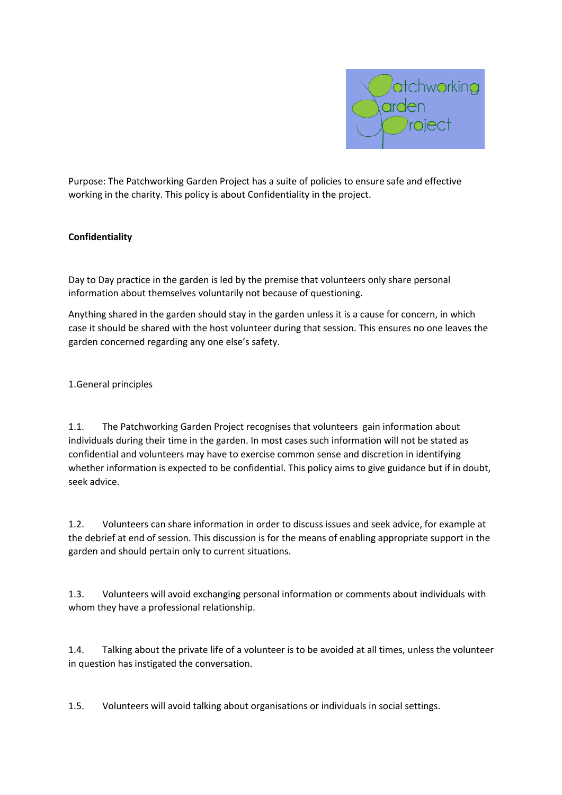

Purpose: The Patchworking Garden Project has a suite of policies to ensure safe and effective working in the charity. This policy is about Confidentiality in the project.

## **Confidentiality**

Day to Day practice in the garden is led by the premise that volunteers only share personal information about themselves voluntarily not because of questioning.

Anything shared in the garden should stay in the garden unless it is a cause for concern, in which case it should be shared with the host volunteer during that session. This ensures no one leaves the garden concerned regarding any one else's safety.

1.General principles

1.1. The Patchworking Garden Project recognises that volunteers gain information about individuals during their time in the garden. In most cases such information will not be stated as confidential and volunteers may have to exercise common sense and discretion in identifying whether information is expected to be confidential. This policy aims to give guidance but if in doubt, seek advice.

1.2. Volunteers can share information in order to discuss issues and seek advice, for example at the debrief at end of session. This discussion is for the means of enabling appropriate support in the garden and should pertain only to current situations.

1.3. Volunteers will avoid exchanging personal information or comments about individuals with whom they have a professional relationship.

1.4. Talking about the private life of a volunteer is to be avoided at all times, unless the volunteer in question has instigated the conversation.

1.5. Volunteers will avoid talking about organisations or individuals in social settings.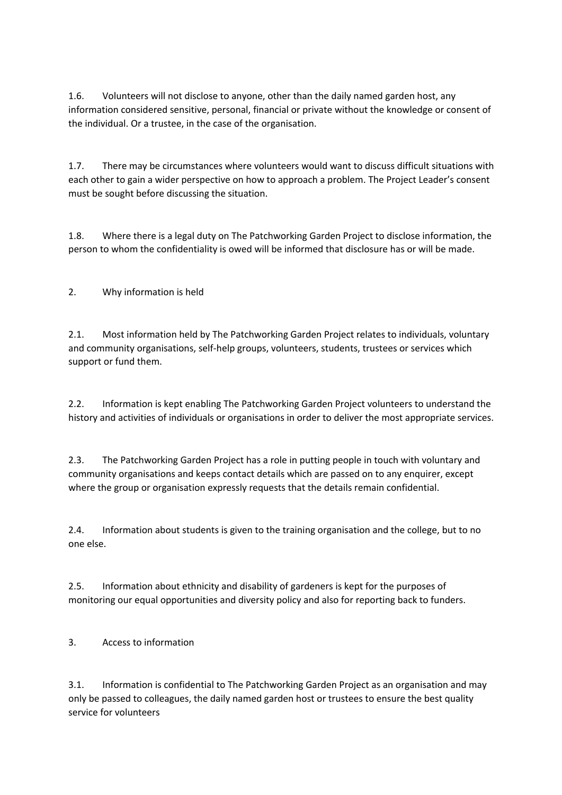1.6. Volunteers will not disclose to anyone, other than the daily named garden host, any information considered sensitive, personal, financial or private without the knowledge or consent of the individual. Or a trustee, in the case of the organisation.

1.7. There may be circumstances where volunteers would want to discuss difficult situations with each other to gain a wider perspective on how to approach a problem. The Project Leader's consent must be sought before discussing the situation.

1.8. Where there is a legal duty on The Patchworking Garden Project to disclose information, the person to whom the confidentiality is owed will be informed that disclosure has or will be made.

2. Why information is held

2.1. Most information held by The Patchworking Garden Project relates to individuals, voluntary and community organisations, self-help groups, volunteers, students, trustees or services which support or fund them.

2.2. Information is kept enabling The Patchworking Garden Project volunteers to understand the history and activities of individuals or organisations in order to deliver the most appropriate services.

2.3. The Patchworking Garden Project has a role in putting people in touch with voluntary and community organisations and keeps contact details which are passed on to any enquirer, except where the group or organisation expressly requests that the details remain confidential.

2.4. Information about students is given to the training organisation and the college, but to no one else.

2.5. Information about ethnicity and disability of gardeners is kept for the purposes of monitoring our equal opportunities and diversity policy and also for reporting back to funders.

3. Access to information

3.1. Information is confidential to The Patchworking Garden Project as an organisation and may only be passed to colleagues, the daily named garden host or trustees to ensure the best quality service for volunteers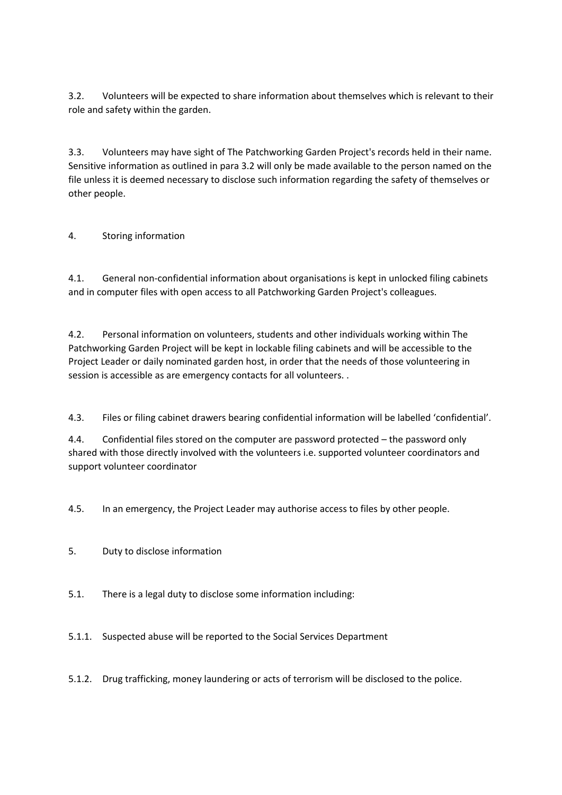3.2. Volunteers will be expected to share information about themselves which is relevant to their role and safety within the garden.

3.3. Volunteers may have sight of The Patchworking Garden Project's records held in their name. Sensitive information as outlined in para 3.2 will only be made available to the person named on the file unless it is deemed necessary to disclose such information regarding the safety of themselves or other people.

## 4. Storing information

4.1. General non-confidential information about organisations is kept in unlocked filing cabinets and in computer files with open access to all Patchworking Garden Project's colleagues.

4.2. Personal information on volunteers, students and other individuals working within The Patchworking Garden Project will be kept in lockable filing cabinets and will be accessible to the Project Leader or daily nominated garden host, in order that the needs of those volunteering in session is accessible as are emergency contacts for all volunteers. .

4.3. Files or filing cabinet drawers bearing confidential information will be labelled 'confidential'.

4.4. Confidential files stored on the computer are password protected – the password only shared with those directly involved with the volunteers i.e. supported volunteer coordinators and support volunteer coordinator

4.5. In an emergency, the Project Leader may authorise access to files by other people.

- 5. Duty to disclose information
- 5.1. There is a legal duty to disclose some information including:
- 5.1.1. Suspected abuse will be reported to the Social Services Department

5.1.2. Drug trafficking, money laundering or acts of terrorism will be disclosed to the police.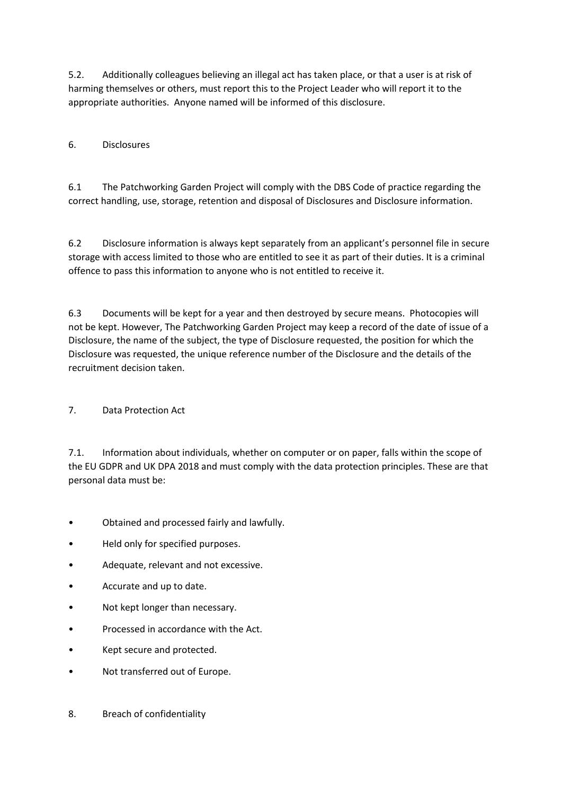5.2. Additionally colleagues believing an illegal act has taken place, or that a user is at risk of harming themselves or others, must report this to the Project Leader who will report it to the appropriate authorities. Anyone named will be informed of this disclosure.

## 6. Disclosures

6.1 The Patchworking Garden Project will comply with the DBS Code of practice regarding the correct handling, use, storage, retention and disposal of Disclosures and Disclosure information.

6.2 Disclosure information is always kept separately from an applicant's personnel file in secure storage with access limited to those who are entitled to see it as part of their duties. It is a criminal offence to pass this information to anyone who is not entitled to receive it.

6.3 Documents will be kept for a year and then destroyed by secure means. Photocopies will not be kept. However, The Patchworking Garden Project may keep a record of the date of issue of a Disclosure, the name of the subject, the type of Disclosure requested, the position for which the Disclosure was requested, the unique reference number of the Disclosure and the details of the recruitment decision taken.

## 7. Data Protection Act

7.1. Information about individuals, whether on computer or on paper, falls within the scope of the EU GDPR and UK DPA 2018 and must comply with the data protection principles. These are that personal data must be:

- Obtained and processed fairly and lawfully.
- Held only for specified purposes.
- Adequate, relevant and not excessive.
- Accurate and up to date.
- Not kept longer than necessary.
- Processed in accordance with the Act.
- Kept secure and protected.
- Not transferred out of Europe.
- 8. Breach of confidentiality